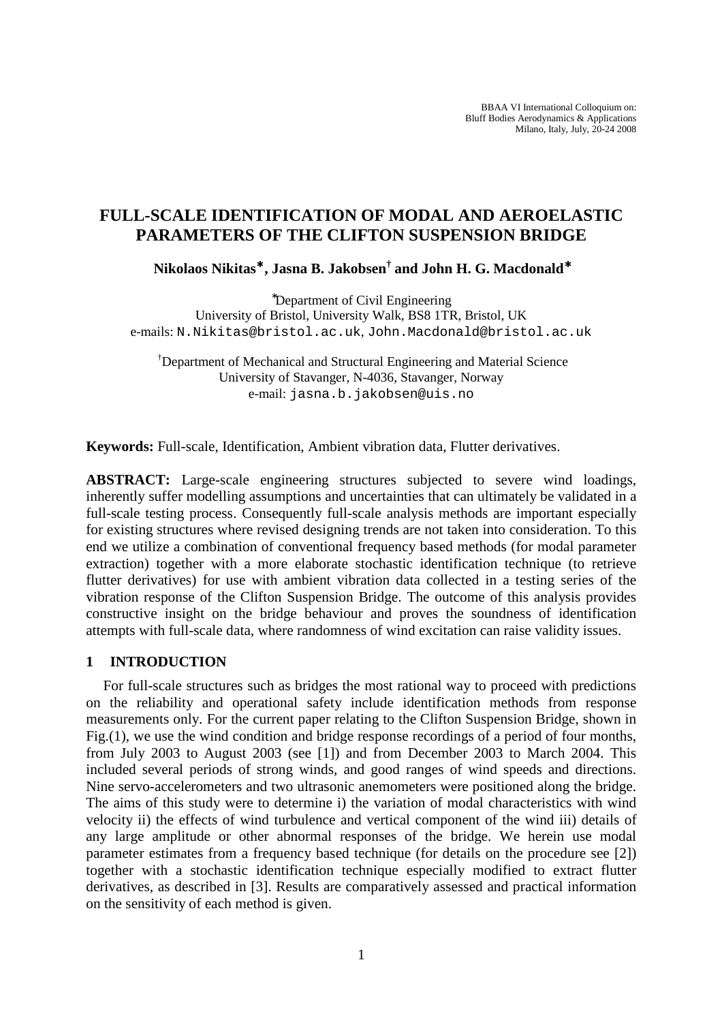BBAA VI International Colloquium on: Bluff Bodies Aerodynamics & Applications Milano, Italy, July, 20-24 2008

# **FULL-SCALE IDENTIFICATION OF MODAL AND AEROELASTIC PARAMETERS OF THE CLIFTON SUSPENSION BRIDGE**

**Nikolaos Nikitas**<sup>∗</sup> **, Jasna B. Jakobsen† and John H. G. Macdonald**<sup>∗</sup>

<sup>∗</sup>Department of Civil Engineering University of Bristol, University Walk, BS8 1TR, Bristol, UK e-mails: N.Nikitas@bristol.ac.uk, John.Macdonald@bristol.ac.uk

†Department of Mechanical and Structural Engineering and Material Science University of Stavanger, N-4036, Stavanger, Norway e-mail: jasna.b.jakobsen@uis.no

**Keywords:** Full-scale, Identification, Ambient vibration data, Flutter derivatives.

**ABSTRACT:** Large-scale engineering structures subjected to severe wind loadings, inherently suffer modelling assumptions and uncertainties that can ultimately be validated in a full-scale testing process. Consequently full-scale analysis methods are important especially for existing structures where revised designing trends are not taken into consideration. To this end we utilize a combination of conventional frequency based methods (for modal parameter extraction) together with a more elaborate stochastic identification technique (to retrieve flutter derivatives) for use with ambient vibration data collected in a testing series of the vibration response of the Clifton Suspension Bridge. The outcome of this analysis provides constructive insight on the bridge behaviour and proves the soundness of identification attempts with full-scale data, where randomness of wind excitation can raise validity issues.

### **1 INTRODUCTION**

For full-scale structures such as bridges the most rational way to proceed with predictions on the reliability and operational safety include identification methods from response measurements only. For the current paper relating to the Clifton Suspension Bridge, shown in Fig.(1), we use the wind condition and bridge response recordings of a period of four months, from July 2003 to August 2003 (see [1]) and from December 2003 to March 2004. This included several periods of strong winds, and good ranges of wind speeds and directions. Nine servo-accelerometers and two ultrasonic anemometers were positioned along the bridge. The aims of this study were to determine i) the variation of modal characteristics with wind velocity ii) the effects of wind turbulence and vertical component of the wind iii) details of any large amplitude or other abnormal responses of the bridge. We herein use modal parameter estimates from a frequency based technique (for details on the procedure see [2]) together with a stochastic identification technique especially modified to extract flutter derivatives, as described in [3]. Results are comparatively assessed and practical information on the sensitivity of each method is given.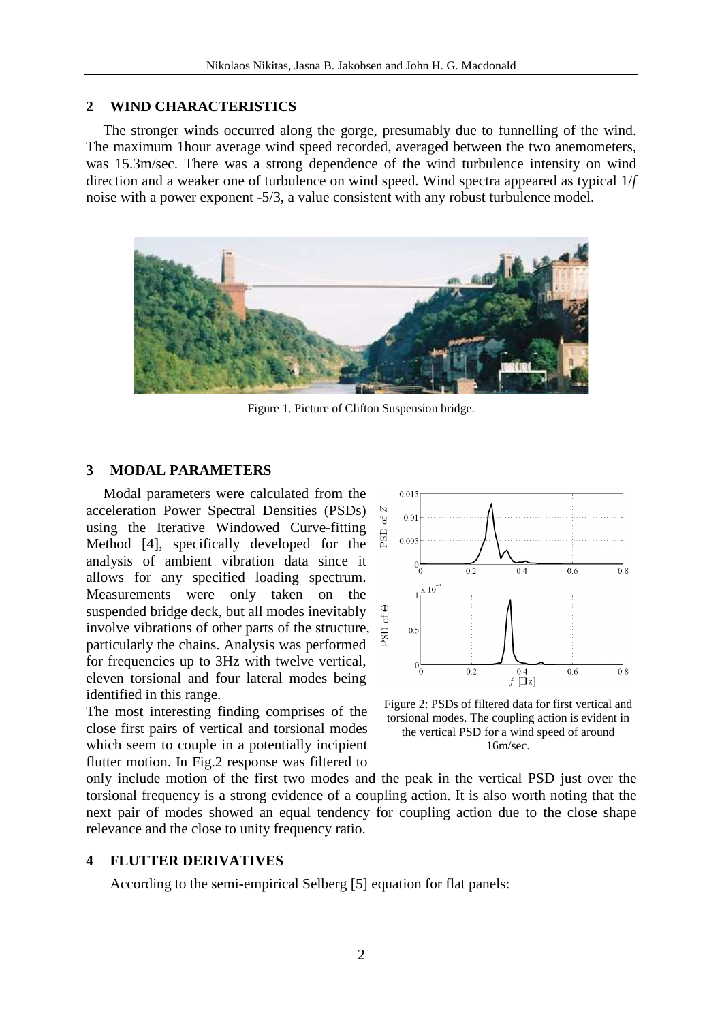## **2 WIND CHARACTERISTICS**

The stronger winds occurred along the gorge, presumably due to funnelling of the wind. The maximum 1hour average wind speed recorded, averaged between the two anemometers, was 15.3m/sec. There was a strong dependence of the wind turbulence intensity on wind direction and a weaker one of turbulence on wind speed. Wind spectra appeared as typical 1/*f* noise with a power exponent -5/3, a value consistent with any robust turbulence model.



Figure 1. Picture of Clifton Suspension bridge.

## **3 MODAL PARAMETERS**

Modal parameters were calculated from the acceleration Power Spectral Densities (PSDs) using the Iterative Windowed Curve-fitting Method [4], specifically developed for the analysis of ambient vibration data since it allows for any specified loading spectrum. Measurements were only taken on the suspended bridge deck, but all modes inevitably involve vibrations of other parts of the structure, particularly the chains. Analysis was performed for frequencies up to 3Hz with twelve vertical, eleven torsional and four lateral modes being identified in this range.

The most interesting finding comprises of the close first pairs of vertical and torsional modes which seem to couple in a potentially incipient flutter motion. In Fig.2 response was filtered to



Figure 2: PSDs of filtered data for first vertical and torsional modes. The coupling action is evident in the vertical PSD for a wind speed of around 16m/sec.

only include motion of the first two modes and the peak in the vertical PSD just over the torsional frequency is a strong evidence of a coupling action. It is also worth noting that the next pair of modes showed an equal tendency for coupling action due to the close shape relevance and the close to unity frequency ratio.

## **4 FLUTTER DERIVATIVES**

According to the semi-empirical Selberg [5] equation for flat panels: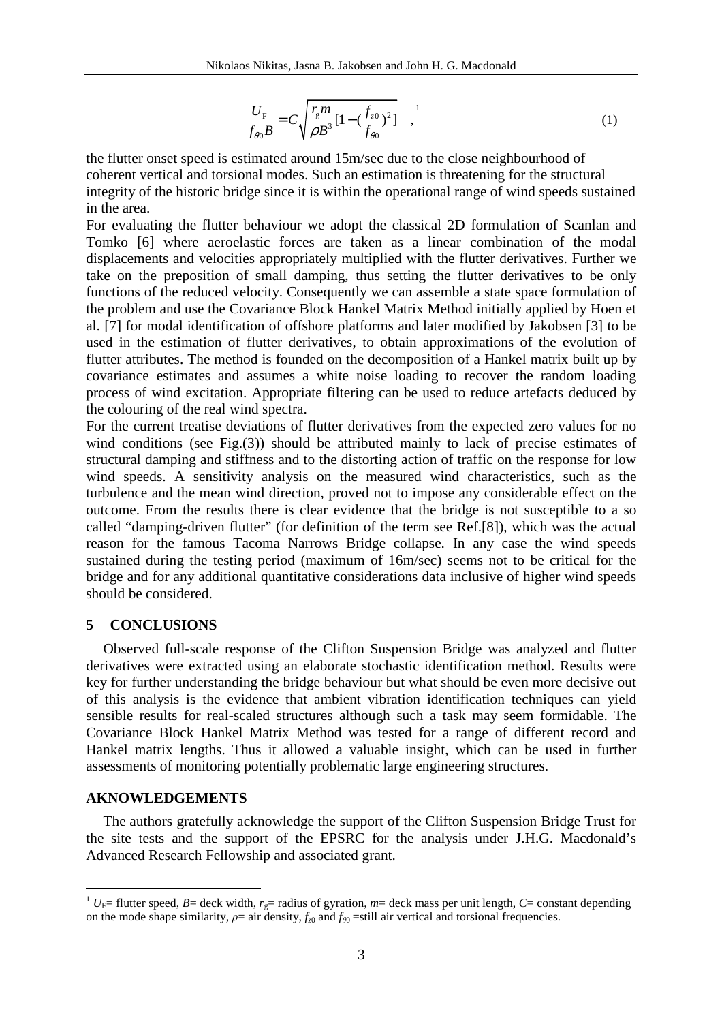$$
\frac{U_{\rm F}}{f_{\theta 0}B} = C \sqrt{\frac{r_{\rm g}m}{\rho B^3} [1 - (\frac{f_{z0}}{f_{\theta 0}})^2]} \bigg|_{\theta 0}^{1}
$$
 (1)

the flutter onset speed is estimated around 15m/sec due to the close neighbourhood of coherent vertical and torsional modes. Such an estimation is threatening for the structural integrity of the historic bridge since it is within the operational range of wind speeds sustained in the area.

For evaluating the flutter behaviour we adopt the classical 2D formulation of Scanlan and Tomko [6] where aeroelastic forces are taken as a linear combination of the modal displacements and velocities appropriately multiplied with the flutter derivatives. Further we take on the preposition of small damping, thus setting the flutter derivatives to be only functions of the reduced velocity. Consequently we can assemble a state space formulation of the problem and use the Covariance Block Hankel Matrix Method initially applied by Hoen et al. [7] for modal identification of offshore platforms and later modified by Jakobsen [3] to be used in the estimation of flutter derivatives, to obtain approximations of the evolution of flutter attributes. The method is founded on the decomposition of a Hankel matrix built up by covariance estimates and assumes a white noise loading to recover the random loading process of wind excitation. Appropriate filtering can be used to reduce artefacts deduced by the colouring of the real wind spectra.

For the current treatise deviations of flutter derivatives from the expected zero values for no wind conditions (see Fig.(3)) should be attributed mainly to lack of precise estimates of structural damping and stiffness and to the distorting action of traffic on the response for low wind speeds. A sensitivity analysis on the measured wind characteristics, such as the turbulence and the mean wind direction, proved not to impose any considerable effect on the outcome. From the results there is clear evidence that the bridge is not susceptible to a so called "damping-driven flutter" (for definition of the term see Ref.[8]), which was the actual reason for the famous Tacoma Narrows Bridge collapse. In any case the wind speeds sustained during the testing period (maximum of 16m/sec) seems not to be critical for the bridge and for any additional quantitative considerations data inclusive of higher wind speeds should be considered.

#### **5 CONCLUSIONS**

Observed full-scale response of the Clifton Suspension Bridge was analyzed and flutter derivatives were extracted using an elaborate stochastic identification method. Results were key for further understanding the bridge behaviour but what should be even more decisive out of this analysis is the evidence that ambient vibration identification techniques can yield sensible results for real-scaled structures although such a task may seem formidable. The Covariance Block Hankel Matrix Method was tested for a range of different record and Hankel matrix lengths. Thus it allowed a valuable insight, which can be used in further assessments of monitoring potentially problematic large engineering structures.

#### **AKNOWLEDGEMENTS**

 $\overline{a}$ 

The authors gratefully acknowledge the support of the Clifton Suspension Bridge Trust for the site tests and the support of the EPSRC for the analysis under J.H.G. Macdonald's Advanced Research Fellowship and associated grant.

<sup>&</sup>lt;sup>1</sup>  $U_F$ = flutter speed, *B*= deck width,  $r_g$ = radius of gyration, *m*= deck mass per unit length, *C*= constant depending on the mode shape similarity,  $\rho = \text{air density}, f_{z0}$  and  $f_{\theta0} = \text{still air vertical and torsional frequencies.}$